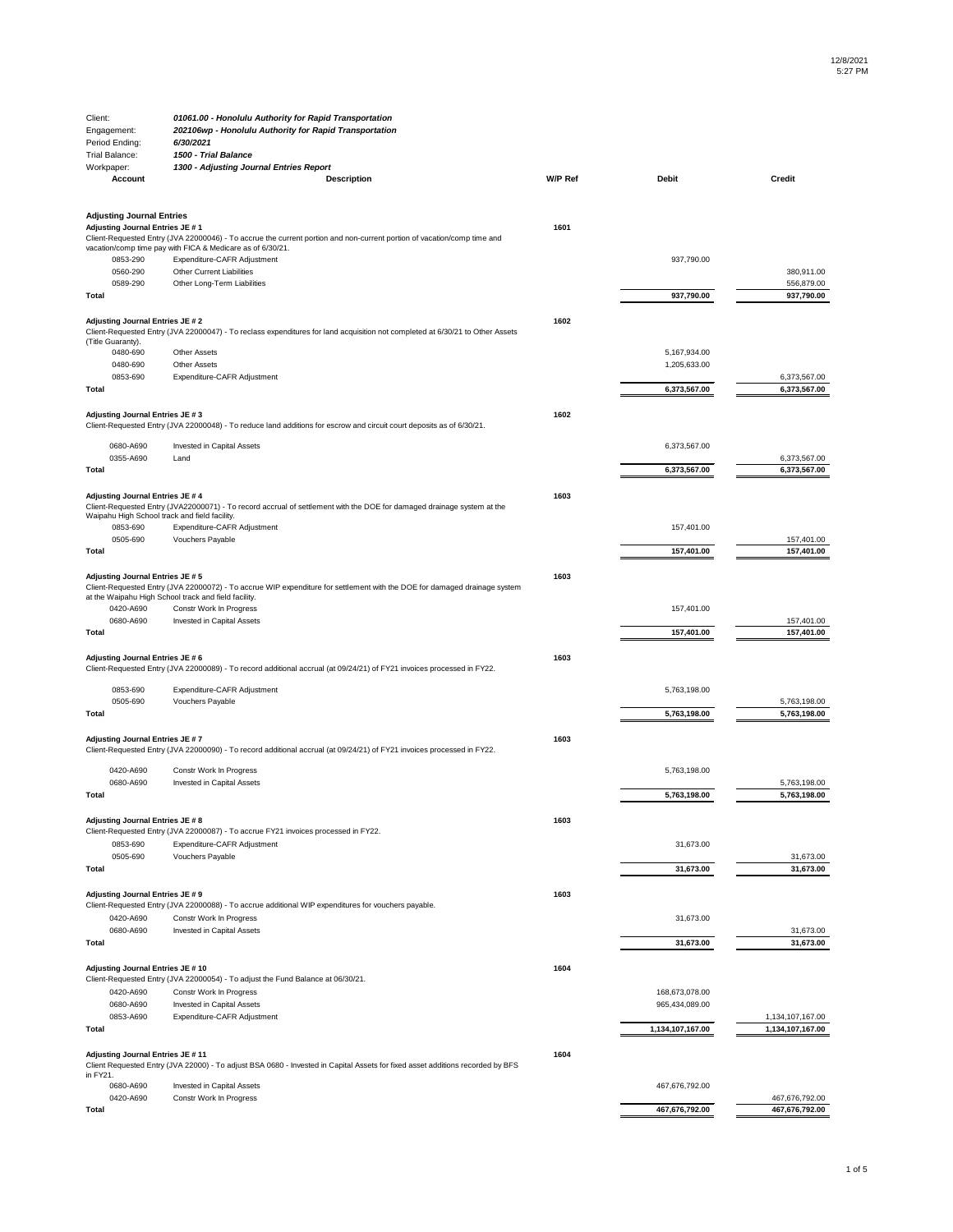**1603**

| Client:                                       | 01061.00 - Honolulu Authority for Rapid Transportation                                                                                                                                |                |              |               |
|-----------------------------------------------|---------------------------------------------------------------------------------------------------------------------------------------------------------------------------------------|----------------|--------------|---------------|
| Engagement:                                   | 202106wp - Honolulu Authority for Rapid Transportation                                                                                                                                |                |              |               |
| Period Ending:                                | 6/30/2021                                                                                                                                                                             |                |              |               |
| <b>Trial Balance:</b>                         | 1500 - Trial Balance                                                                                                                                                                  |                |              |               |
| Workpaper:                                    | 1300 - Adjusting Journal Entries Report                                                                                                                                               |                |              |               |
| <b>Account</b>                                | <b>Description</b>                                                                                                                                                                    | <b>W/P Ref</b> | <b>Debit</b> | <b>Credit</b> |
| <b>Adjusting Journal Entries</b>              |                                                                                                                                                                                       |                |              |               |
| Adjusting Journal Entries JE #1               | Client-Requested Entry (JVA 22000046) - To accrue the current portion and non-current portion of vacation/comp time and<br>vacation/comp time pay with FICA & Medicare as of 6/30/21. | 1601           |              |               |
| 0853-290                                      | Expenditure-CAFR Adjustment                                                                                                                                                           |                | 937,790.00   |               |
| 0560-290                                      | <b>Other Current Liabilities</b>                                                                                                                                                      |                |              | 380,911.00    |
| 0589-290                                      | Other Long-Term Liabilities                                                                                                                                                           |                |              | 556,879.00    |
| <b>Total</b>                                  |                                                                                                                                                                                       |                | 937,790.00   | 937,790.00    |
| <b>Adjusting Journal Entries JE #2</b>        | Client-Requested Entry (JVA 22000047) - To reclass expenditures for land acquisition not completed at 6/30/21 to Other Assets                                                         | 1602           |              |               |
| (Title Guaranty).                             |                                                                                                                                                                                       |                |              |               |
| 0480-690                                      | <b>Other Assets</b>                                                                                                                                                                   |                | 5,167,934.00 |               |
| 0480-690                                      | <b>Other Assets</b>                                                                                                                                                                   |                | 1,205,633.00 |               |
| 0853-690                                      | Expenditure-CAFR Adjustment                                                                                                                                                           |                |              | 6,373,567.00  |
| Total                                         |                                                                                                                                                                                       |                | 6,373,567.00 | 6,373,567.00  |
| Adjusting Journal Entries JE # 3              | Client-Requested Entry (JVA 22000048) - To reduce land additions for escrow and circuit court deposits as of 6/30/21.                                                                 | 1602           |              |               |
| 0680-A690                                     | Invested in Capital Assets                                                                                                                                                            |                | 6,373,567.00 |               |
| 0355-A690                                     | Land                                                                                                                                                                                  |                |              | 6,373,567.00  |
| Total                                         |                                                                                                                                                                                       |                | 6,373,567.00 | 6,373,567.00  |
| <b>Adjusting Journal Entries JE #4</b>        |                                                                                                                                                                                       | 1603           |              |               |
| Waipahu High School track and field facility. | Client-Requested Entry (JVA22000071) - To record accrual of settlement with the DOE for damaged drainage system at the                                                                |                |              |               |
| 0853-690                                      | Expenditure-CAFR Adjustment                                                                                                                                                           |                | 157,401.00   |               |
| 0505-690                                      | Vouchers Payable                                                                                                                                                                      |                |              | 157,401.00    |
| Total                                         |                                                                                                                                                                                       |                | 157,401.00   | 157,401.00    |
| Adjusting Journal Entries JE # 5              | Client-Requested Entry (JVA 22000072) - To accrue WIP expenditure for settlement with the DOE for damaged drainage system<br>at the Waipahu High School track and field facility.     | 1603           |              |               |
| 0420-A690                                     | Constr Work In Progress                                                                                                                                                               |                | 157,401.00   |               |
| 0680-A690                                     | Invested in Capital Assets                                                                                                                                                            |                |              | 157,401.00    |
| <b>Total</b>                                  |                                                                                                                                                                                       |                | 157,401.00   | 157,401.00    |
| Adjusting Journal Entries JE # 6              | Client-Requested Entry (JVA 22000089) - To record additional accrual (at 09/24/21) of FY21 invoices processed in FY22.                                                                | 1603           |              |               |
| 0853-690                                      | Expenditure-CAFR Adjustment                                                                                                                                                           |                | 5,763,198.00 |               |
| 0505-690                                      | Vouchers Payable                                                                                                                                                                      |                |              | 5,763,198.00  |
| <b>Total</b>                                  |                                                                                                                                                                                       |                | 5,763,198.00 | 5,763,198.00  |
|                                               |                                                                                                                                                                                       |                |              |               |

| 0420-A690                                     | Constr Work In Progress                                                                                                        |      | 5,763,198.00     |                  |
|-----------------------------------------------|--------------------------------------------------------------------------------------------------------------------------------|------|------------------|------------------|
| 0680-A690                                     | Invested in Capital Assets                                                                                                     |      |                  | 5,763,198.00     |
| <b>Total</b>                                  |                                                                                                                                |      | 5,763,198.00     | 5,763,198.00     |
| <b>Adjusting Journal Entries JE #8</b>        | Client-Requested Entry (JVA 22000087) - To accrue FY21 invoices processed in FY22.                                             | 1603 |                  |                  |
| 0853-690                                      | Expenditure-CAFR Adjustment                                                                                                    |      | 31,673.00        |                  |
| 0505-690                                      | Vouchers Payable                                                                                                               |      |                  | 31,673.00        |
| <b>Total</b>                                  |                                                                                                                                |      | 31,673.00        | 31,673.00        |
| <b>Adjusting Journal Entries JE #9</b>        | Client-Requested Entry (JVA 22000088) - To accrue additional WIP expenditures for vouchers payable.                            | 1603 |                  |                  |
| 0420-A690                                     | Constr Work In Progress                                                                                                        |      | 31,673.00        |                  |
| 0680-A690                                     | Invested in Capital Assets                                                                                                     |      |                  | 31,673.00        |
| <b>Total</b>                                  |                                                                                                                                |      | 31,673.00        | 31,673.00        |
| Adjusting Journal Entries JE #10              | Client-Requested Entry (JVA 22000054) - To adjust the Fund Balance at 06/30/21.                                                | 1604 |                  |                  |
| 0420-A690                                     | Constr Work In Progress                                                                                                        |      | 168,673,078.00   |                  |
| 0680-A690                                     | Invested in Capital Assets                                                                                                     |      | 965,434,089.00   |                  |
| 0853-A690                                     | Expenditure-CAFR Adjustment                                                                                                    |      |                  | 1,134,107,167.00 |
| <b>Total</b>                                  |                                                                                                                                |      | 1,134,107,167.00 | 1,134,107,167.00 |
| Adjusting Journal Entries JE # 11<br>in FY21. | Client Requested Entry (JVA 22000) - To adjust BSA 0680 - Invested in Capital Assets for fixed asset additions recorded by BFS | 1604 |                  |                  |
| 0680-A690                                     | Invested in Capital Assets                                                                                                     |      | 467,676,792.00   |                  |
| 0420-A690                                     | Constr Work In Progress                                                                                                        |      |                  | 467,676,792.00   |
| <b>Total</b>                                  |                                                                                                                                |      | 467,676,792.00   | 467,676,792.00   |

**Adjusting Journal Entries JE # 7**

Client-Requested Entry (JVA 22000090) - To record additional accrual (at 09/24/21) of FY21 invoices processed in FY22.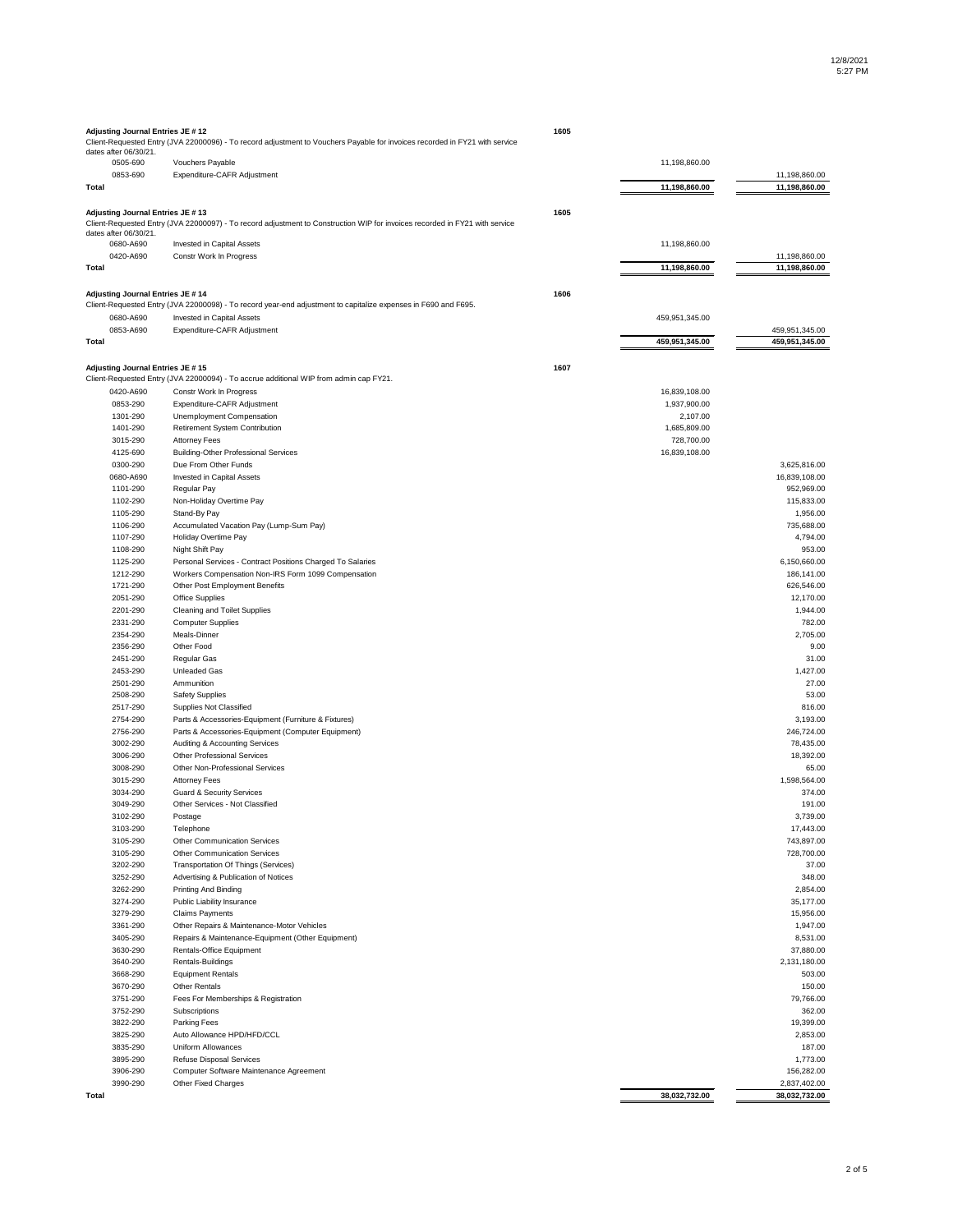| Adjusting Journal Entries JE # 12       | Client-Requested Entry (JVA 22000096) - To record adjustment to Vouchers Payable for invoices recorded in FY21 with service | 1605 |                               |                        |
|-----------------------------------------|-----------------------------------------------------------------------------------------------------------------------------|------|-------------------------------|------------------------|
| dates after 06/30/21.                   |                                                                                                                             |      |                               |                        |
| 0505-690                                | Vouchers Payable                                                                                                            |      | 11,198,860.00                 |                        |
| 0853-690                                | Expenditure-CAFR Adjustment                                                                                                 |      |                               | 11,198,860.00          |
| <b>Total</b>                            |                                                                                                                             |      | 11,198,860.00                 | 11,198,860.00          |
| <b>Adjusting Journal Entries JE #13</b> |                                                                                                                             | 1605 |                               |                        |
|                                         | Client-Requested Entry (JVA 22000097) - To record adjustment to Construction WIP for invoices recorded in FY21 with service |      |                               |                        |
| dates after 06/30/21.                   |                                                                                                                             |      |                               |                        |
| 0680-A690                               | <b>Invested in Capital Assets</b>                                                                                           |      | 11,198,860.00                 |                        |
| 0420-A690                               | Constr Work In Progress                                                                                                     |      |                               | 11,198,860.00          |
| <b>Total</b>                            |                                                                                                                             |      | 11,198,860.00                 | 11,198,860.00          |
| <b>Adjusting Journal Entries JE #14</b> |                                                                                                                             | 1606 |                               |                        |
|                                         | Client-Requested Entry (JVA 22000098) - To record year-end adjustment to capitalize expenses in F690 and F695.              |      |                               |                        |
| 0680-A690                               | <b>Invested in Capital Assets</b>                                                                                           |      | 459,951,345.00                |                        |
| 0853-A690                               | Expenditure-CAFR Adjustment                                                                                                 |      |                               | 459,951,345.00         |
| <b>Total</b>                            |                                                                                                                             |      | 459,951,345.00                | 459,951,345.00         |
|                                         |                                                                                                                             |      |                               |                        |
| Adjusting Journal Entries JE #15        |                                                                                                                             | 1607 |                               |                        |
|                                         | Client-Requested Entry (JVA 22000094) - To accrue additional WIP from admin cap FY21.                                       |      |                               |                        |
| 0420-A690<br>0853-290                   | Constr Work In Progress<br>Expenditure-CAFR Adjustment                                                                      |      | 16,839,108.00<br>1,937,900.00 |                        |
| 1301-290                                | Unemployment Compensation                                                                                                   |      | 2,107.00                      |                        |
| 1401-290                                | Retirement System Contribution                                                                                              |      | 1,685,809.00                  |                        |
| 3015-290                                | <b>Attorney Fees</b>                                                                                                        |      | 728,700.00                    |                        |
| 4125-690                                | <b>Building-Other Professional Services</b>                                                                                 |      | 16,839,108.00                 |                        |
| 0300-290                                | Due From Other Funds                                                                                                        |      |                               | 3,625,816.00           |
| 0680-A690                               | Invested in Capital Assets                                                                                                  |      |                               | 16,839,108.00          |
| 1101-290                                | Regular Pay                                                                                                                 |      |                               | 952,969.00             |
| 1102-290                                | Non-Holiday Overtime Pay                                                                                                    |      |                               | 115,833.00             |
| 1105-290<br>1106-290                    | Stand-By Pay<br>Accumulated Vacation Pay (Lump-Sum Pay)                                                                     |      |                               | 1,956.00<br>735,688.00 |
| 1107-290                                | Holiday Overtime Pay                                                                                                        |      |                               | 4,794.00               |
| 1108-290                                | Night Shift Pay                                                                                                             |      |                               | 953.00                 |
| 1125-290                                | Personal Services - Contract Positions Charged To Salaries                                                                  |      |                               | 6,150,660.00           |
| 1212-290                                | Workers Compensation Non-IRS Form 1099 Compensation                                                                         |      |                               | 186,141.00             |
| 1721-290                                | Other Post Employment Benefits                                                                                              |      |                               | 626,546.00             |
| 2051-290                                | <b>Office Supplies</b>                                                                                                      |      |                               | 12,170.00              |
| 2201-290                                | <b>Cleaning and Toilet Supplies</b>                                                                                         |      |                               | 1,944.00               |
| 2331-290                                | <b>Computer Supplies</b>                                                                                                    |      |                               | 782.00                 |
| 2354-290<br>2356-290                    | Meals-Dinner<br>Other Food                                                                                                  |      |                               | 2,705.00<br>9.00       |
| 2451-290                                | Regular Gas                                                                                                                 |      |                               | 31.00                  |
| 2453-290                                | <b>Unleaded Gas</b>                                                                                                         |      |                               | 1,427.00               |
| 2501-290                                | Ammunition                                                                                                                  |      |                               | 27.00                  |
| 2508-290                                | <b>Safety Supplies</b>                                                                                                      |      |                               | 53.00                  |
| 2517-290                                | <b>Supplies Not Classified</b>                                                                                              |      |                               | 816.00                 |
| 2754-290                                | Parts & Accessories-Equipment (Furniture & Fixtures)                                                                        |      |                               | 3,193.00               |
| 2756-290                                | Parts & Accessories-Equipment (Computer Equipment)                                                                          |      |                               | 246,724.00             |
| 3002-290                                | Auditing & Accounting Services                                                                                              |      |                               | 78,435.00              |
| 3006-290                                | <b>Other Professional Services</b>                                                                                          |      |                               | 18,392.00              |
| 3008-290<br>3015-290                    | Other Non-Professional Services<br><b>Attorney Fees</b>                                                                     |      |                               | 65.00<br>1,598,564.00  |
| 3034-290                                | <b>Guard &amp; Security Services</b>                                                                                        |      |                               | 374.00                 |
| 3049-290                                | Other Services - Not Classified                                                                                             |      |                               | 191.00                 |
| 3102-290                                | Postage                                                                                                                     |      |                               | 3,739.00               |
| 3103-290                                | Telephone                                                                                                                   |      |                               | 17,443.00              |
| 3105-290                                | <b>Other Communication Services</b>                                                                                         |      |                               | 743,897.00             |
| 3105-290                                | <b>Other Communication Services</b>                                                                                         |      |                               | 728,700.00             |
| 3202-290                                | <b>Transportation Of Things (Services)</b>                                                                                  |      |                               | 37.00                  |
| 3252-290                                | Advertising & Publication of Notices                                                                                        |      |                               | 348.00                 |
| 3262-290                                | <b>Printing And Binding</b>                                                                                                 |      |                               | 2,854.00               |
| 3274-290<br>3279-290                    | Public Liability Insurance                                                                                                  |      |                               | 35,177.00<br>15,956.00 |
| 3361-290                                | <b>Claims Payments</b><br>Other Repairs & Maintenance-Motor Vehicles                                                        |      |                               | 1,947.00               |
| 3405-290                                | Repairs & Maintenance-Equipment (Other Equipment)                                                                           |      |                               | 8,531.00               |
| 3630-290                                | Rentals-Office Equipment                                                                                                    |      |                               | 37,880.00              |
| 3640-290                                | Rentals-Buildings                                                                                                           |      |                               | 2,131,180.00           |
| 3668-290                                | <b>Equipment Rentals</b>                                                                                                    |      |                               | 503.00                 |
| 3670-290                                | <b>Other Rentals</b>                                                                                                        |      |                               | 150.00                 |
| 3751-290                                | Fees For Memberships & Registration                                                                                         |      |                               | 79,766.00              |
| 3752-290                                | Subscriptions                                                                                                               |      |                               | 362.00                 |
| 3822-290                                | <b>Parking Fees</b>                                                                                                         |      |                               | 19,399.00              |
| 3825-290<br>3835-290                    | Auto Allowance HPD/HFD/CCL<br><b>Uniform Allowances</b>                                                                     |      |                               | 2,853.00<br>187.00     |
| 3895-290                                | <b>Refuse Disposal Services</b>                                                                                             |      |                               | 1,773.00               |
| 3906-290                                | Computer Software Maintenance Agreement                                                                                     |      |                               | 156,282.00             |
| 3990-290                                | Other Fixed Charges                                                                                                         |      |                               | 2,837,402.00           |
| <b>Total</b>                            |                                                                                                                             |      | 38,032,732.00                 | 38,032,732.00          |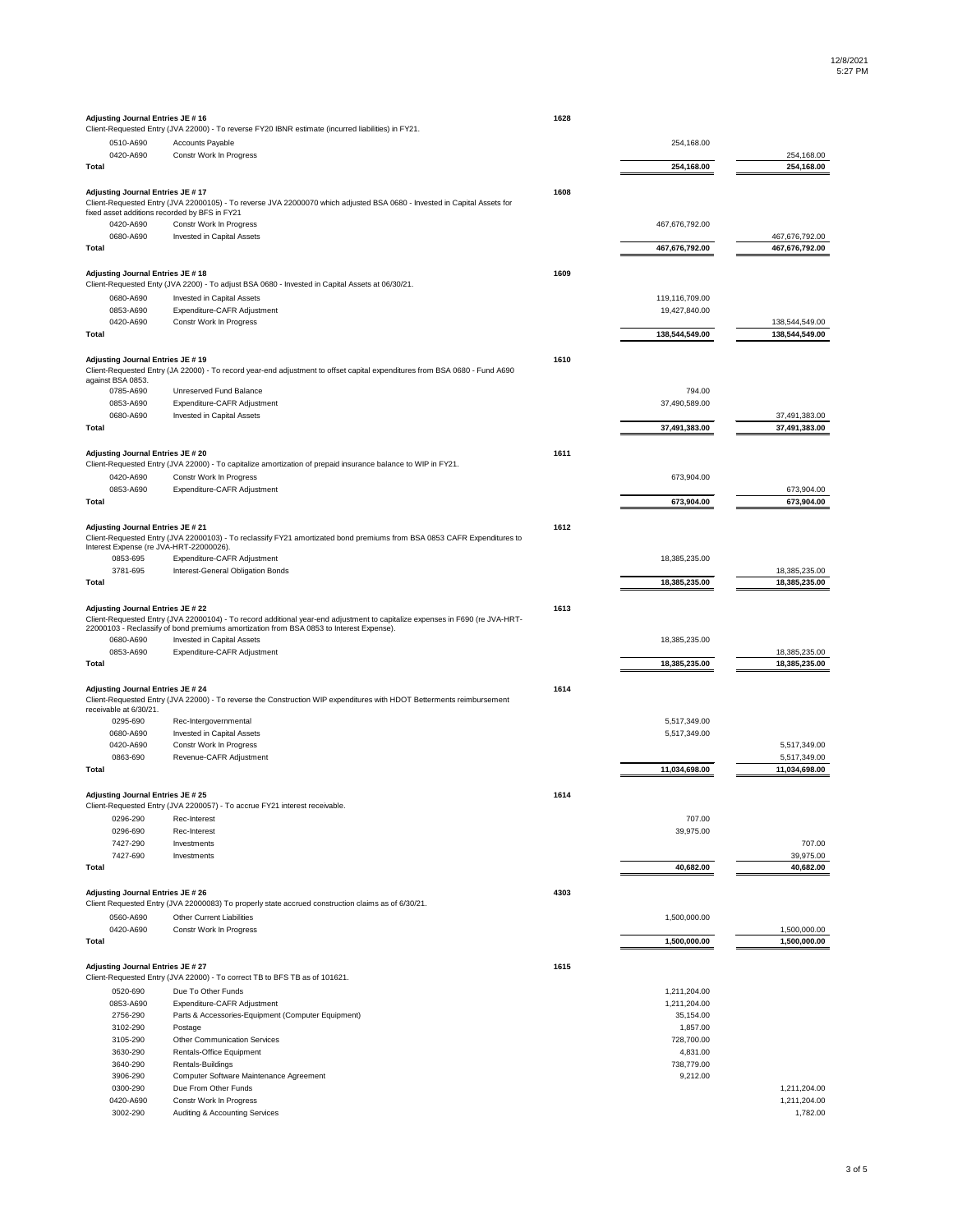| <b>Adjusting Journal Entries JE #16</b>                                           |                                                                                                                                                                                                                         | 1628 |                        |                               |
|-----------------------------------------------------------------------------------|-------------------------------------------------------------------------------------------------------------------------------------------------------------------------------------------------------------------------|------|------------------------|-------------------------------|
|                                                                                   | Client-Requested Entry (JVA 22000) - To reverse FY20 IBNR estimate (incurred liabilities) in FY21.                                                                                                                      |      | 254,168.00             |                               |
| 0510-A690<br>0420-A690                                                            | Accounts Payable<br>Constr Work In Progress                                                                                                                                                                             |      |                        | 254,168.00                    |
| Total                                                                             |                                                                                                                                                                                                                         |      | 254,168.00             | 254,168.00                    |
|                                                                                   |                                                                                                                                                                                                                         |      |                        |                               |
| Adjusting Journal Entries JE #17<br>fixed asset additions recorded by BFS in FY21 | Client-Requested Entry (JVA 22000105) - To reverse JVA 22000070 which adjusted BSA 0680 - Invested in Capital Assets for                                                                                                | 1608 |                        |                               |
| 0420-A690                                                                         | Constr Work In Progress                                                                                                                                                                                                 |      | 467,676,792.00         |                               |
| 0680-A690                                                                         | Invested in Capital Assets                                                                                                                                                                                              |      |                        | 467,676,792.00                |
| <b>Total</b>                                                                      |                                                                                                                                                                                                                         |      | 467,676,792.00         | 467,676,792.00                |
|                                                                                   |                                                                                                                                                                                                                         |      |                        |                               |
| Adjusting Journal Entries JE #18                                                  | Client-Requested Enty (JVA 2200) - To adjust BSA 0680 - Invested in Capital Assets at 06/30/21.                                                                                                                         | 1609 |                        |                               |
| 0680-A690                                                                         | Invested in Capital Assets                                                                                                                                                                                              |      | 119,116,709.00         |                               |
| 0853-A690                                                                         | Expenditure-CAFR Adjustment                                                                                                                                                                                             |      | 19,427,840.00          |                               |
| 0420-A690                                                                         | Constr Work In Progress                                                                                                                                                                                                 |      |                        | 138,544,549.00                |
| <b>Total</b>                                                                      |                                                                                                                                                                                                                         |      | 138,544,549.00         | 138,544,549.00                |
|                                                                                   |                                                                                                                                                                                                                         |      |                        |                               |
| <b>Adjusting Journal Entries JE #19</b><br>against BSA 0853.                      | Client-Requested Entry (JA 22000) - To record year-end adjustment to offset capital expenditures from BSA 0680 - Fund A690                                                                                              | 1610 |                        |                               |
| 0785-A690                                                                         | Unreserved Fund Balance                                                                                                                                                                                                 |      | 794.00                 |                               |
| 0853-A690                                                                         | Expenditure-CAFR Adjustment                                                                                                                                                                                             |      | 37,490,589.00          |                               |
| 0680-A690                                                                         | Invested in Capital Assets                                                                                                                                                                                              |      |                        | 37,491,383.00                 |
| Total                                                                             |                                                                                                                                                                                                                         |      | 37,491,383.00          | 37,491,383.00                 |
| Adjusting Journal Entries JE # 20                                                 |                                                                                                                                                                                                                         | 1611 |                        |                               |
|                                                                                   | Client-Requested Entry (JVA 22000) - To capitalize amortization of prepaid insurance balance to WIP in FY21.                                                                                                            |      |                        |                               |
| 0420-A690                                                                         | Constr Work In Progress                                                                                                                                                                                                 |      | 673,904.00             |                               |
| 0853-A690                                                                         | Expenditure-CAFR Adjustment                                                                                                                                                                                             |      |                        | 673,904.00                    |
| <b>Total</b>                                                                      |                                                                                                                                                                                                                         |      | 673,904.00             | 673,904.00                    |
|                                                                                   |                                                                                                                                                                                                                         |      |                        |                               |
| Adjusting Journal Entries JE # 21<br>Interest Expense (re JVA-HRT-22000026).      | Client-Requested Entry (JVA 22000103) - To reclassify FY21 amortizated bond premiums from BSA 0853 CAFR Expenditures to                                                                                                 | 1612 |                        |                               |
| 0853-695                                                                          | Expenditure-CAFR Adjustment                                                                                                                                                                                             |      | 18,385,235.00          |                               |
| 3781-695                                                                          | Interest-General Obligation Bonds                                                                                                                                                                                       |      |                        | 18,385,235.00                 |
| Total                                                                             |                                                                                                                                                                                                                         |      | 18,385,235.00          | 18,385,235.00                 |
|                                                                                   |                                                                                                                                                                                                                         |      |                        |                               |
| <b>Adjusting Journal Entries JE # 22</b>                                          | Client-Requested Entry (JVA 22000104) - To record additional year-end adjustment to capitalize expenses in F690 (re JVA-HRT-<br>22000103 - Reclassify of bond premiums amortization from BSA 0853 to Interest Expense). | 1613 |                        |                               |
| 0680-A690                                                                         | Invested in Capital Assets                                                                                                                                                                                              |      | 18,385,235.00          |                               |
| 0853-A690                                                                         | Expenditure-CAFR Adjustment                                                                                                                                                                                             |      |                        | 18,385,235.00                 |
| <b>Total</b>                                                                      |                                                                                                                                                                                                                         |      | 18,385,235.00          | 18,385,235.00                 |
|                                                                                   |                                                                                                                                                                                                                         |      |                        |                               |
| <b>Adjusting Journal Entries JE # 24</b><br>receivable at 6/30/21.                | Client-Requested Entry (JVA 22000) - To reverse the Construction WIP expenditures with HDOT Betterments reimbursement                                                                                                   | 1614 |                        |                               |
| 0295-690                                                                          | Rec-Intergovernmental                                                                                                                                                                                                   |      | 5,517,349.00           |                               |
| 0680-A690                                                                         | Invested in Capital Assets                                                                                                                                                                                              |      | 5,517,349.00           |                               |
| 0420-A690                                                                         | Constr Work In Progress                                                                                                                                                                                                 |      |                        | 5,517,349.00                  |
| 0863-690<br><b>Total</b>                                                          | Revenue-CAFR Adjustment                                                                                                                                                                                                 |      | 11,034,698.00          | 5,517,349.00<br>11,034,698.00 |
|                                                                                   |                                                                                                                                                                                                                         |      |                        |                               |
| Adjusting Journal Entries JE # 25                                                 |                                                                                                                                                                                                                         | 1614 |                        |                               |
|                                                                                   | Client-Requested Entry (JVA 2200057) - To accrue FY21 interest receivable.                                                                                                                                              |      |                        |                               |
| 0296-290                                                                          | Rec-Interest                                                                                                                                                                                                            |      | 707.00                 |                               |
| 0296-690                                                                          | Rec-Interest                                                                                                                                                                                                            |      | 39,975.00              |                               |
| 7427-290<br>7427-690                                                              | Investments<br>Investments                                                                                                                                                                                              |      |                        | 707.00<br>39,975.00           |
| <b>Total</b>                                                                      |                                                                                                                                                                                                                         |      | 40,682.00              | 40,682.00                     |
|                                                                                   |                                                                                                                                                                                                                         |      |                        |                               |
| <b>Adjusting Journal Entries JE # 26</b>                                          |                                                                                                                                                                                                                         | 4303 |                        |                               |
|                                                                                   | Client Requested Entry (JVA 22000083) To properly state accrued construction claims as of 6/30/21.                                                                                                                      |      |                        |                               |
| 0560-A690                                                                         | <b>Other Current Liabilities</b>                                                                                                                                                                                        |      | 1,500,000.00           |                               |
| 0420-A690                                                                         | Constr Work In Progress                                                                                                                                                                                                 |      |                        | 1,500,000.00                  |
| <b>Total</b>                                                                      |                                                                                                                                                                                                                         |      | 1,500,000.00           | 1,500,000.00                  |
| Adjusting Journal Entries JE # 27                                                 |                                                                                                                                                                                                                         | 1615 |                        |                               |
|                                                                                   | Client-Requested Entry (JVA 22000) - To correct TB to BFS TB as of 101621.                                                                                                                                              |      |                        |                               |
| 0520-690                                                                          | Due To Other Funds                                                                                                                                                                                                      |      | 1,211,204.00           |                               |
| 0853-A690                                                                         | Expenditure-CAFR Adjustment                                                                                                                                                                                             |      | 1,211,204.00           |                               |
| 2756-290                                                                          | Parts & Accessories-Equipment (Computer Equipment)                                                                                                                                                                      |      | 35,154.00              |                               |
| 3102-290                                                                          | Postage<br><b>Other Communication Services</b>                                                                                                                                                                          |      | 1,857.00               |                               |
| 3105-290<br>3630-290                                                              | <b>Rentals-Office Equipment</b>                                                                                                                                                                                         |      | 728,700.00<br>4,831.00 |                               |
| 3640-290                                                                          | Rentals-Buildings                                                                                                                                                                                                       |      | 738,779.00             |                               |
| 3906-290                                                                          | Computer Software Maintenance Agreement                                                                                                                                                                                 |      | 9,212.00               |                               |
| 0300-290                                                                          | Due From Other Funds                                                                                                                                                                                                    |      |                        | 1,211,204.00                  |
| 0420-A690                                                                         | Constr Work In Progress                                                                                                                                                                                                 |      |                        | 1,211,204.00                  |
| 3002-290                                                                          | <b>Auditing &amp; Accounting Services</b>                                                                                                                                                                               |      |                        | 1,782.00                      |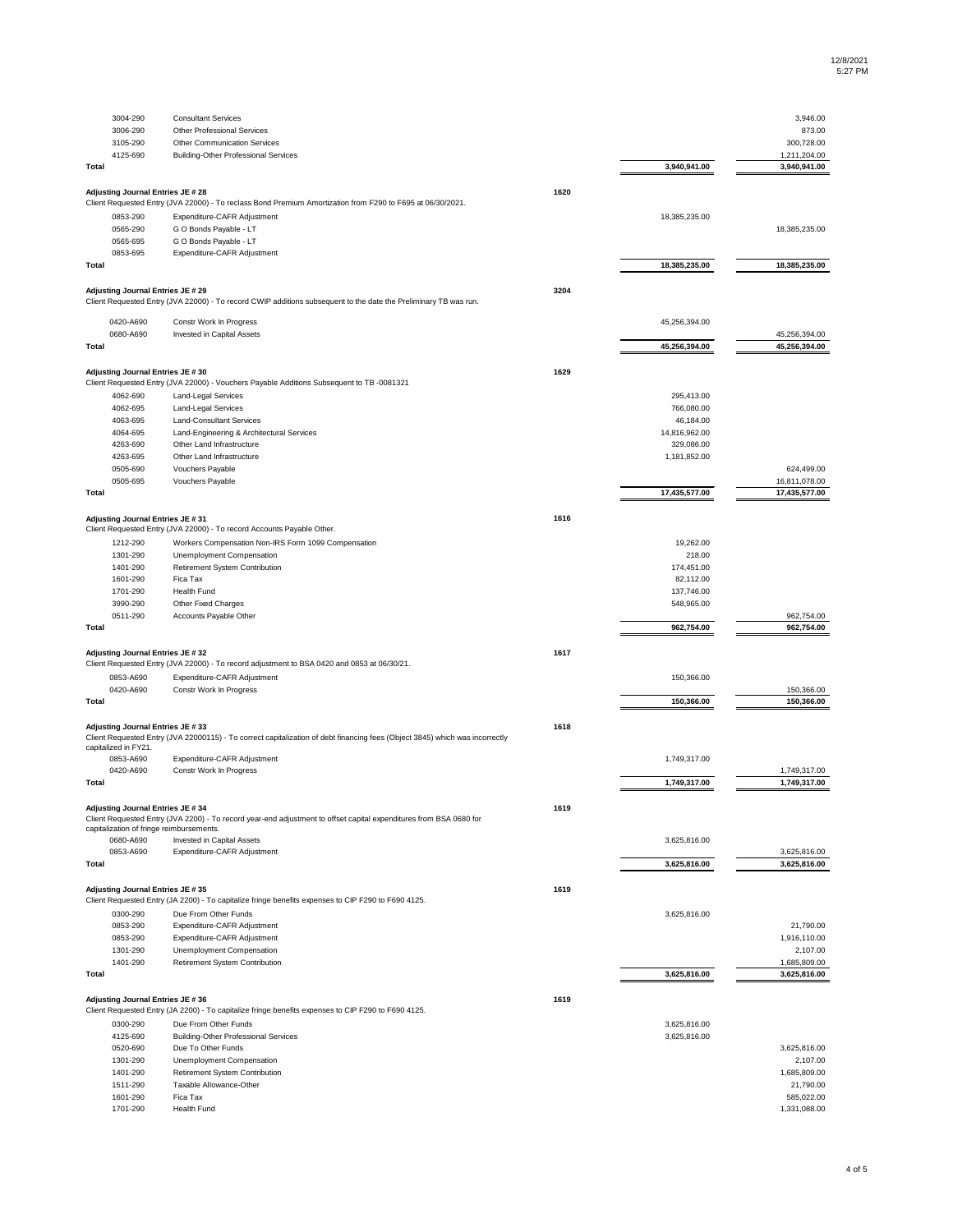**1618**

| 3004-290                                 | <b>Consultant Services</b>                                                                                       |      |               | 3,946.00      |
|------------------------------------------|------------------------------------------------------------------------------------------------------------------|------|---------------|---------------|
| 3006-290                                 | <b>Other Professional Services</b>                                                                               |      |               | 873.00        |
| 3105-290                                 | <b>Other Communication Services</b>                                                                              |      |               | 300,728.00    |
| 4125-690                                 | <b>Building-Other Professional Services</b>                                                                      |      |               | 1,211,204.00  |
| <b>Total</b>                             |                                                                                                                  |      | 3,940,941.00  | 3,940,941.00  |
| <b>Adjusting Journal Entries JE # 28</b> |                                                                                                                  | 1620 |               |               |
|                                          | Client Requested Entry (JVA 22000) - To reclass Bond Premium Amortization from F290 to F695 at 06/30/2021.       |      |               |               |
| 0853-290                                 | Expenditure-CAFR Adjustment                                                                                      |      | 18,385,235.00 |               |
| 0565-290                                 | G O Bonds Payable - LT                                                                                           |      |               | 18,385,235.00 |
| 0565-695                                 | G O Bonds Payable - LT                                                                                           |      |               |               |
| 0853-695                                 | Expenditure-CAFR Adjustment                                                                                      |      |               |               |
| Total                                    |                                                                                                                  |      | 18,385,235.00 | 18,385,235.00 |
| <b>Adjusting Journal Entries JE # 29</b> |                                                                                                                  | 3204 |               |               |
|                                          | Client Requested Entry (JVA 22000) - To record CWIP additions subsequent to the date the Preliminary TB was run. |      |               |               |
| 0420-A690                                | Constr Work In Progress                                                                                          |      | 45,256,394.00 |               |
| 0680-A690                                | Invested in Capital Assets                                                                                       |      |               | 45,256,394.00 |
| <b>Total</b>                             |                                                                                                                  |      | 45,256,394.00 | 45,256,394.00 |
|                                          |                                                                                                                  | 1629 |               |               |
| <b>Adjusting Journal Entries JE #30</b>  | Client Requested Entry (JVA 22000) - Vouchers Payable Additions Subsequent to TB -0081321                        |      |               |               |
| 4062-690                                 | <b>Land-Legal Services</b>                                                                                       |      | 295,413.00    |               |
| 4062-695                                 | <b>Land-Legal Services</b>                                                                                       |      | 766,080.00    |               |
| 4063-695                                 | <b>Land-Consultant Services</b>                                                                                  |      | 46,184.00     |               |
| 4064-695                                 | Land-Engineering & Architectural Services                                                                        |      | 14,816,962.00 |               |
| 4263-690                                 | Other Land Infrastructure                                                                                        |      | 329,086.00    |               |
| 4263-695                                 | Other Land Infrastructure                                                                                        |      | 1,181,852.00  |               |
| 0505-690                                 | Vouchers Payable                                                                                                 |      |               | 624,499.00    |
| 0505-695                                 | Vouchers Payable                                                                                                 |      |               | 16,811,078.00 |
| <b>Total</b>                             |                                                                                                                  |      | 17,435,577.00 | 17,435,577.00 |
|                                          |                                                                                                                  |      |               |               |
| Adjusting Journal Entries JE # 31        | Client Requested Entry (JVA 22000) - To record Accounts Payable Other.                                           | 1616 |               |               |
| 1212-290                                 | Workers Compensation Non-IRS Form 1099 Compensation                                                              |      | 19,262.00     |               |
| 1301-290                                 | <b>Unemployment Compensation</b>                                                                                 |      | 218.00        |               |
| 1401-290                                 | Retirement System Contribution                                                                                   |      | 174,451.00    |               |
| 1601-290                                 | Fica Tax                                                                                                         |      | 82,112.00     |               |
| 1701-290                                 | <b>Health Fund</b>                                                                                               |      | 137,746.00    |               |
| 3990-290                                 | <b>Other Fixed Charges</b>                                                                                       |      | 548,965.00    |               |
| 0511-290                                 | Accounts Payable Other                                                                                           |      |               | 962,754.00    |
| <b>Total</b>                             |                                                                                                                  |      | 962,754.00    | 962,754.00    |
| <b>Adjusting Journal Entries JE #32</b>  |                                                                                                                  | 1617 |               |               |
|                                          | Client Requested Entry (JVA 22000) - To record adjustment to BSA 0420 and 0853 at 06/30/21.                      |      |               |               |
| 0853-A690                                | Expenditure-CAFR Adjustment                                                                                      |      | 150,366.00    |               |
| 0420-A690                                | Constr Work In Progress                                                                                          |      |               | 150,366.00    |
| <b>Total</b>                             |                                                                                                                  |      | 150,366.00    | 150,366.00    |

| 0853-A690                                | Expenditure-CAFR Adjustment                                                                                        |      | 1,749,317.00 |              |
|------------------------------------------|--------------------------------------------------------------------------------------------------------------------|------|--------------|--------------|
| 0420-A690                                | Constr Work In Progress                                                                                            |      |              | 1,749,317.00 |
| Total                                    |                                                                                                                    |      | 1,749,317.00 | 1,749,317.00 |
| <b>Adjusting Journal Entries JE #34</b>  |                                                                                                                    | 1619 |              |              |
| capitalization of fringe reimbursements. | Client Requested Entry (JVA 2200) - To record year-end adjustment to offset capital expenditures from BSA 0680 for |      |              |              |
| 0680-A690                                | Invested in Capital Assets                                                                                         |      | 3,625,816.00 |              |
| 0853-A690                                | Expenditure-CAFR Adjustment                                                                                        |      |              | 3,625,816.00 |
| <b>Total</b>                             |                                                                                                                    |      | 3,625,816.00 | 3,625,816.00 |
| Adjusting Journal Entries JE # 35        |                                                                                                                    | 1619 |              |              |
|                                          | Client Requested Entry (JA 2200) - To capitalize fringe benefits expenses to CIP F290 to F690 4125.                |      |              |              |
| 0300-290                                 | Due From Other Funds                                                                                               |      | 3,625,816.00 |              |
| 0853-290                                 | Expenditure-CAFR Adjustment                                                                                        |      |              | 21,790.00    |
| 0853-290                                 | Expenditure-CAFR Adjustment                                                                                        |      |              | 1,916,110.00 |
| 1301-290                                 | <b>Unemployment Compensation</b>                                                                                   |      |              | 2,107.00     |
| 1401-290                                 | Retirement System Contribution                                                                                     |      |              | 1,685,809.00 |
| <b>Total</b>                             |                                                                                                                    |      | 3,625,816.00 | 3,625,816.00 |
| Adjusting Journal Entries JE # 36        |                                                                                                                    | 1619 |              |              |
|                                          | Client Requested Entry (JA 2200) - To capitalize fringe benefits expenses to CIP F290 to F690 4125.                |      |              |              |
| 0300-290                                 | Due From Other Funds                                                                                               |      | 3,625,816.00 |              |
| 4125-690                                 | <b>Building-Other Professional Services</b>                                                                        |      | 3,625,816.00 |              |
| 0520-690                                 | Due To Other Funds                                                                                                 |      |              | 3,625,816.00 |
| 1301-290                                 | <b>Unemployment Compensation</b>                                                                                   |      |              | 2,107.00     |
| 1401-290                                 | Retirement System Contribution                                                                                     |      |              | 1,685,809.00 |
| 1511-290                                 | Taxable Allowance-Other                                                                                            |      |              | 21,790.00    |
| 1601-290                                 | Fica Tax                                                                                                           |      |              | 585,022.00   |
| 1701-290                                 | <b>Health Fund</b>                                                                                                 |      |              | 1,331,088.00 |

## **Adjusting Journal Entries JE # 33**

Client Requested Entry (JVA 22000115) - To correct capitalization of debt financing fees (Object 3845) which was incorrectly capitalized in FY21.